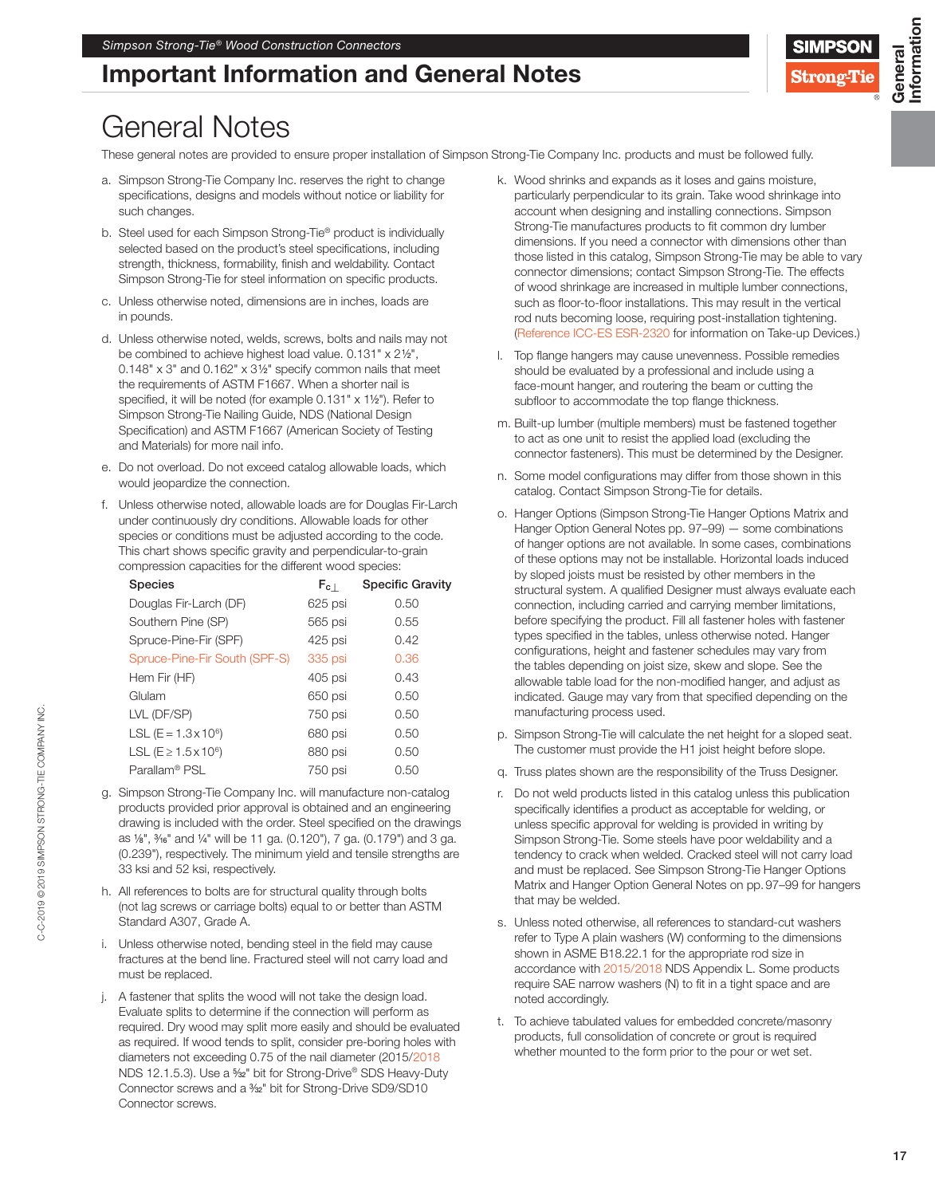## Important Information and General Notes



Information

nformation

## General Notes

These general notes are provided to ensure proper installation of Simpson Strong-Tie Company Inc. products and must be followed fully.

- a. Simpson Strong-Tie Company Inc. reserves the right to change specifications, designs and models without notice or liability for such changes.
- b. Steel used for each Simpson Strong-Tie® product is individually selected based on the product's steel specifications, including strength, thickness, formability, finish and weldability. Contact Simpson Strong-Tie for steel information on specific products.
- c. Unless otherwise noted, dimensions are in inches, loads are in pounds.
- d. Unless otherwise noted, welds, screws, bolts and nails may not be combined to achieve highest load value. 0.131" x 21⁄2", 0.148" x 3" and 0.162" x 31⁄2" specify common nails that meet the requirements of ASTM F1667. When a shorter nail is specified, it will be noted (for example 0.131" x 11/2"). Refer to Simpson Strong-Tie Nailing Guide, NDS (National Design Specification) and ASTM F1667 (American Society of Testing and Materials) for more nail info.
- e. Do not overload. Do not exceed catalog allowable loads, which would jeopardize the connection.
- f. Unless otherwise noted, allowable loads are for Douglas Fir-Larch under continuously dry conditions. Allowable loads for other species or conditions must be adjusted according to the code. This chart shows specific gravity and perpendicular-to-grain compression capacities for the different wood species:

| <b>Species</b>                  | $F_{c}$ | <b>Specific Gravity</b> |
|---------------------------------|---------|-------------------------|
| Douglas Fir-Larch (DF)          | 625 psi | 0.50                    |
| Southern Pine (SP)              | 565 psi | 0.55                    |
| Spruce-Pine-Fir (SPF)           | 425 psi | 0.42                    |
| Spruce-Pine-Fir South (SPF-S)   | 335 psi | 0.36                    |
| Hem Fir (HF)                    | 405 psi | 0.43                    |
| Glulam                          | 650 psi | 0.50                    |
| LVL (DF/SP)                     | 750 psi | 0.50                    |
| LSL (E = $1.3 \times 10^6$ )    | 680 psi | 0.50                    |
| LSL ( $E \ge 1.5 \times 10^6$ ) | 880 psi | 0.50                    |
| Parallam <sup>®</sup> PSL       | 750 psi | 0.50                    |

- g. Simpson Strong-Tie Company Inc. will manufacture non-catalog products provided prior approval is obtained and an engineering drawing is included with the order. Steel specified on the drawings as 1⁄8", 3⁄16" and 1⁄4" will be 11 ga. (0.120"), 7 ga. (0.179") and 3 ga. (0.239"), respectively. The minimum yield and tensile strengths are 33 ksi and 52 ksi, respectively.
- h. All references to bolts are for structural quality through bolts (not lag screws or carriage bolts) equal to or better than ASTM Standard A307, Grade A.
- i. Unless otherwise noted, bending steel in the field may cause fractures at the bend line. Fractured steel will not carry load and must be replaced.
- j. A fastener that splits the wood will not take the design load. Evaluate splits to determine if the connection will perform as required. Dry wood may split more easily and should be evaluated as required. If wood tends to split, consider pre-boring holes with diameters not exceeding 0.75 of the nail diameter (2015/2018 NDS 12.1.5.3). Use a <sup>5</sup>/<sub>32</sub>" bit for Strong-Drive® SDS Heavy-Duty Connector screws and a 3/32" bit for Strong-Drive SD9/SD10 Connector screws.
- k. Wood shrinks and expands as it loses and gains moisture, particularly perpendicular to its grain. Take wood shrinkage into account when designing and installing connections. Simpson Strong-Tie manufactures products to fit common dry lumber dimensions. If you need a connector with dimensions other than those listed in this catalog, Simpson Strong-Tie may be able to vary connector dimensions; contact Simpson Strong-Tie. The effects of wood shrinkage are increased in multiple lumber connections, such as floor-to-floor installations. This may result in the vertical rod nuts becoming loose, requiring post-installation tightening. (Reference ICC-ES ESR-2320 for information on Take-up Devices.)
- l. Top flange hangers may cause unevenness. Possible remedies should be evaluated by a professional and include using a face-mount hanger, and routering the beam or cutting the subfloor to accommodate the top flange thickness.
- m. Built-up lumber (multiple members) must be fastened together to act as one unit to resist the applied load (excluding the connector fasteners). This must be determined by the Designer.
- n. Some model configurations may differ from those shown in this catalog. Contact Simpson Strong-Tie for details.
- o. Hanger Options (Simpson Strong-Tie Hanger Options Matrix and Hanger Option General Notes pp. 97–99) — some combinations of hanger options are not available. In some cases, combinations of these options may not be installable. Horizontal loads induced by sloped joists must be resisted by other members in the structural system. A qualified Designer must always evaluate each connection, including carried and carrying member limitations, before specifying the product. Fill all fastener holes with fastener types specified in the tables, unless otherwise noted. Hanger configurations, height and fastener schedules may vary from the tables depending on joist size, skew and slope. See the allowable table load for the non-modified hanger, and adjust as indicated. Gauge may vary from that specified depending on the manufacturing process used.
- p. Simpson Strong-Tie will calculate the net height for a sloped seat. The customer must provide the H1 joist height before slope.
- q. Truss plates shown are the responsibility of the Truss Designer.
- r. Do not weld products listed in this catalog unless this publication specifically identifies a product as acceptable for welding, or unless specific approval for welding is provided in writing by Simpson Strong-Tie. Some steels have poor weldability and a tendency to crack when welded. Cracked steel will not carry load and must be replaced. See Simpson Strong-Tie Hanger Options Matrix and Hanger Option General Notes on pp. 97–99 for hangers that may be welded.
- s. Unless noted otherwise, all references to standard-cut washers refer to Type A plain washers (W) conforming to the dimensions shown in ASME B18.22.1 for the appropriate rod size in accordance with 2015/2018 NDS Appendix L. Some products require SAE narrow washers (N) to fit in a tight space and are noted accordingly.
- t. To achieve tabulated values for embedded concrete/masonry products, full consolidation of concrete or grout is required whether mounted to the form prior to the pour or wet set.